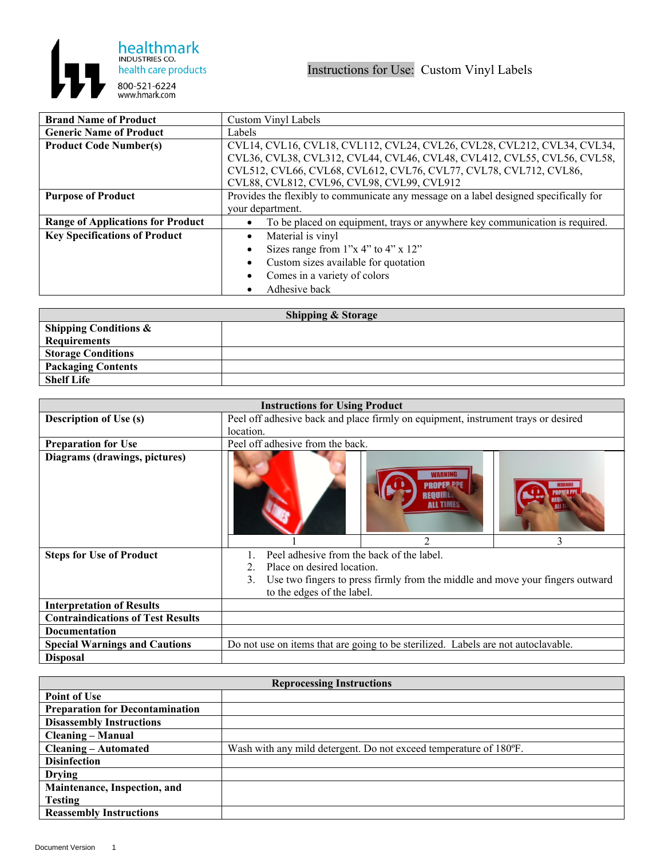

| <b>Brand Name of Product</b>             | Custom Vinyl Labels                                                                   |  |
|------------------------------------------|---------------------------------------------------------------------------------------|--|
| <b>Generic Name of Product</b>           | Labels                                                                                |  |
| <b>Product Code Number(s)</b>            | CVL14, CVL16, CVL18, CVL112, CVL24, CVL26, CVL28, CVL212, CVL34, CVL34,               |  |
|                                          | CVL36, CVL38, CVL312, CVL44, CVL46, CVL48, CVL412, CVL55, CVL56, CVL58,               |  |
|                                          | CVL512, CVL66, CVL68, CVL612, CVL76, CVL77, CVL78, CVL712, CVL86,                     |  |
|                                          | CVL88, CVL812, CVL96, CVL98, CVL99, CVL912                                            |  |
| <b>Purpose of Product</b>                | Provides the flexibly to communicate any message on a label designed specifically for |  |
|                                          | your department.                                                                      |  |
| <b>Range of Applications for Product</b> | To be placed on equipment, trays or anywhere key communication is required.           |  |
| <b>Key Specifications of Product</b>     | Material is vinyl                                                                     |  |
|                                          | Sizes range from $1"x 4"$ to $4"x 12"$                                                |  |
|                                          | Custom sizes available for quotation                                                  |  |
|                                          | Comes in a variety of colors                                                          |  |
|                                          | Adhesive back                                                                         |  |

| <b>Shipping &amp; Storage</b>    |  |  |
|----------------------------------|--|--|
| <b>Shipping Conditions &amp;</b> |  |  |
| Requirements                     |  |  |
| <b>Storage Conditions</b>        |  |  |
| <b>Packaging Contents</b>        |  |  |
| <b>Shelf Life</b>                |  |  |

| <b>Instructions for Using Product</b>    |                                                                                     |                                                                                   |   |
|------------------------------------------|-------------------------------------------------------------------------------------|-----------------------------------------------------------------------------------|---|
| <b>Description of Use (s)</b>            | Peel off adhesive back and place firmly on equipment, instrument trays or desired   |                                                                                   |   |
|                                          | location.                                                                           |                                                                                   |   |
| <b>Preparation for Use</b>               | Peel off adhesive from the back.                                                    |                                                                                   |   |
| Diagrams (drawings, pictures)            |                                                                                     | <b>ALL TIMES</b>                                                                  |   |
|                                          |                                                                                     | $\mathfrak{D}$                                                                    | 3 |
| <b>Steps for Use of Product</b>          | Peel adhesive from the back of the label.                                           |                                                                                   |   |
|                                          | Place on desired location.<br>2.                                                    |                                                                                   |   |
|                                          | Use two fingers to press firmly from the middle and move your fingers outward<br>3. |                                                                                   |   |
|                                          | to the edges of the label.                                                          |                                                                                   |   |
| <b>Interpretation of Results</b>         |                                                                                     |                                                                                   |   |
| <b>Contraindications of Test Results</b> |                                                                                     |                                                                                   |   |
| <b>Documentation</b>                     |                                                                                     |                                                                                   |   |
| <b>Special Warnings and Cautions</b>     |                                                                                     | Do not use on items that are going to be sterilized. Labels are not autoclavable. |   |
| <b>Disposal</b>                          |                                                                                     |                                                                                   |   |

| <b>Reprocessing Instructions</b>       |                                                                   |  |
|----------------------------------------|-------------------------------------------------------------------|--|
| <b>Point of Use</b>                    |                                                                   |  |
| <b>Preparation for Decontamination</b> |                                                                   |  |
| <b>Disassembly Instructions</b>        |                                                                   |  |
| <b>Cleaning – Manual</b>               |                                                                   |  |
| <b>Cleaning – Automated</b>            | Wash with any mild detergent. Do not exceed temperature of 180°F. |  |
| <b>Disinfection</b>                    |                                                                   |  |
| <b>Drying</b>                          |                                                                   |  |
| Maintenance, Inspection, and           |                                                                   |  |
| <b>Testing</b>                         |                                                                   |  |
| <b>Reassembly Instructions</b>         |                                                                   |  |